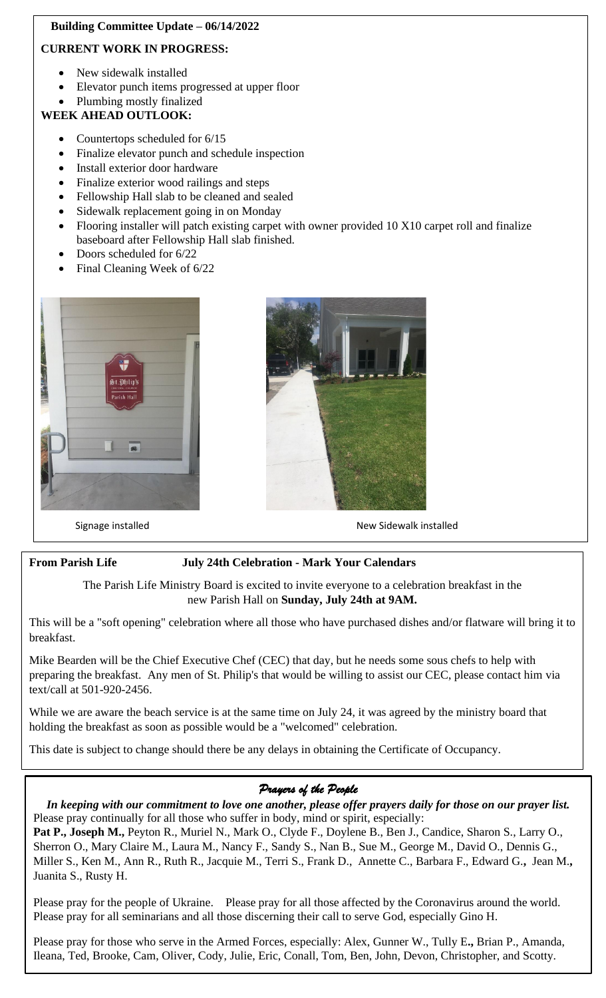# **Building Committee Update – 06/14/2022**

# **CURRENT WORK IN PROGRESS:**

- New sidewalk installed
- Elevator punch items progressed at upper floor
- Plumbing mostly finalized

# **WEEK AHEAD OUTLOOK:**

- Countertops scheduled for 6/15
- Finalize elevator punch and schedule inspection
- Install exterior door hardware
- Finalize exterior wood railings and steps
- Fellowship Hall slab to be cleaned and sealed
- Sidewalk replacement going in on Monday
- Flooring installer will patch existing carpet with owner provided 10 X10 carpet roll and finalize baseboard after Fellowship Hall slab finished.
- Doors scheduled for  $6/22$
- Final Cleaning Week of 6/22





#### Signage installed **New Sidewalk installed** New Sidewalk installed

# **From Parish Life July 24th Celebration - Mark Your Calendars**

The Parish Life Ministry Board is excited to invite everyone to a celebration breakfast in the new Parish Hall on **Sunday, July 24th at 9AM.**

 breakfast. This will be a "soft opening" celebration where all those who have purchased dishes and/or flatware will bring it to

preparing the breakfast. Any men of St. Philip's that would be willing to assist our CEC, please contact him via Mike Bearden will be the Chief Executive Chef (CEC) that day, but he needs some sous chefs to help with text/call at 501-920-2456.

While we are aware the beach service is at the same time on July 24, it was agreed by the ministry board that holding the breakfast as soon as possible would be a "welcomed" celebration.

This date is subject to change should there be any delays in obtaining the Certificate of Occupancy.

# *Prayers of the People*

In keeping with our commitment to love one another, please offer prayers dai<br>Please pray continually for all those who suffer in body, mind or spirit, especially: *In keeping with our commitment to love one another, please offer prayers daily for those on our prayer list.*

 Sherron O., Mary Claire M., Laura M., Nancy F., Sandy S., Nan B., Sue M., George M., David O., Dennis G., Juanita S., Rusty H. **Pat P., Joseph M.,** Peyton R., Muriel N., Mark O., Clyde F., Doylene B., Ben J., Candice, Sharon S., Larry O., Miller S., Ken M., Ann R., Ruth R., Jacquie M., Terri S., Frank D., Annette C., Barbara F., Edward G.**,** Jean M.**,**

Please pray for the people of Ukraine. Please pray for all those affected by the Coronavirus arou<br>Please pray for all seminarians and all those discerning their call to serve God, especially Gino H. Please pray for the people of Ukraine. Please pray for all those affected by the Coronavirus around the world.

Please pray for those who serve in the Armed Forces, especially: Alex, Gunner W., Tully E., Brian P., Amanda, Ileana, Ted, Brooke, Cam, Oliver, Cody, Julie, Eric, Conall, Tom, Ben, John, Devon, Christopher, and Scotty.